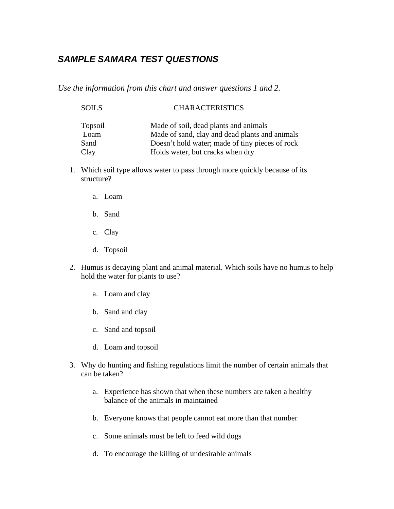## *SAMPLE SAMARA TEST QUESTIONS*

*Use the information from this chart and answer questions 1 and 2.* 

| <b>SOILS</b> | <b>CHARACTERISTICS</b>                          |
|--------------|-------------------------------------------------|
| Topsoil      | Made of soil, dead plants and animals           |
| Loam         | Made of sand, clay and dead plants and animals  |
| Sand         | Doesn't hold water; made of tiny pieces of rock |
| Clay         | Holds water, but cracks when dry                |

- 1. Which soil type allows water to pass through more quickly because of its structure?
	- a. Loam
	- b. Sand
	- c. Clay
	- d. Topsoil
- 2. Humus is decaying plant and animal material. Which soils have no humus to help hold the water for plants to use?
	- a. Loam and clay
	- b. Sand and clay
	- c. Sand and topsoil
	- d. Loam and topsoil
- 3. Why do hunting and fishing regulations limit the number of certain animals that can be taken?
	- a. Experience has shown that when these numbers are taken a healthy balance of the animals in maintained
	- b. Everyone knows that people cannot eat more than that number
	- c. Some animals must be left to feed wild dogs
	- d. To encourage the killing of undesirable animals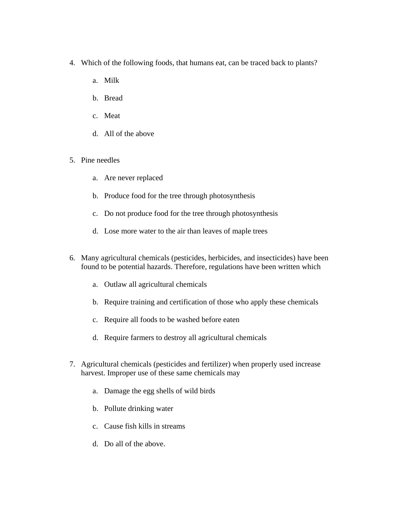- 4. Which of the following foods, that humans eat, can be traced back to plants?
	- a. Milk
	- b. Bread
	- c. Meat
	- d. All of the above
- 5. Pine needles
	- a. Are never replaced
	- b. Produce food for the tree through photosynthesis
	- c. Do not produce food for the tree through photosynthesis
	- d. Lose more water to the air than leaves of maple trees
- 6. Many agricultural chemicals (pesticides, herbicides, and insecticides) have been found to be potential hazards. Therefore, regulations have been written which
	- a. Outlaw all agricultural chemicals
	- b. Require training and certification of those who apply these chemicals
	- c. Require all foods to be washed before eaten
	- d. Require farmers to destroy all agricultural chemicals
- 7. Agricultural chemicals (pesticides and fertilizer) when properly used increase harvest. Improper use of these same chemicals may
	- a. Damage the egg shells of wild birds
	- b. Pollute drinking water
	- c. Cause fish kills in streams
	- d. Do all of the above.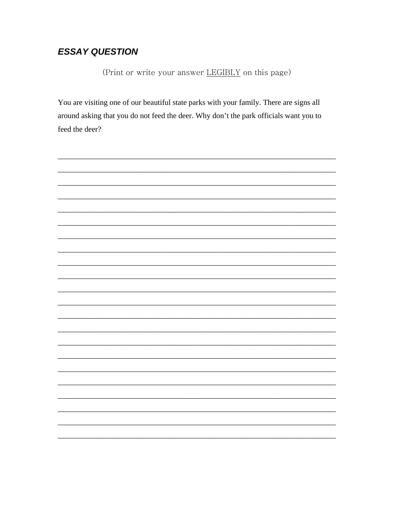## **ESSAY QUESTION**

(Print or write your answer LEGIBLY on this page)

You are visiting one of our beautiful state parks with your family. There are signs all around asking that you do not feed the deer. Why don't the park officials want you to feed the deer?